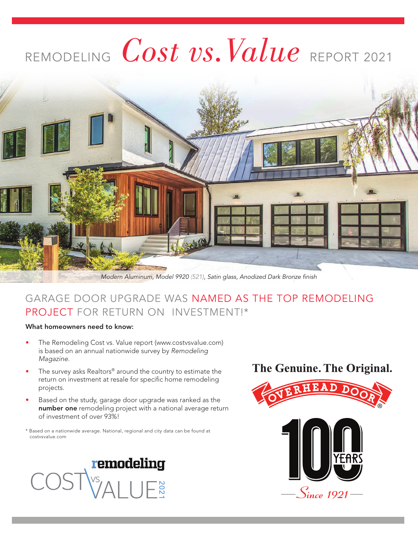# REMODELING *Cost vs.Value* REPORT 2021



*Modern Aluminum, Model 9920 (521), Satin glass, Anodized Dark Bronze finish*

## GARAGE DOOR UPGRADE WAS NAMED AS THE TOP REMODELING PROJECT FOR RETURN ON INVESTMENT!\*

#### What homeowners need to know:

- The Remodeling Cost vs. Value report (www.costvsvalue.com) is based on an annual nationwide survey by *Remodeling Magazine*.
- The survey asks Realtors® around the country to estimate the return on investment at resale for specific home remodeling projects.
- Based on the study, garage door upgrade was ranked as the number one remodeling project with a national average return of investment of over 93%!

\* Based on a nationwide average. National, regional and city data can be found at costvsvalue.com



## The Genuine. The Original.